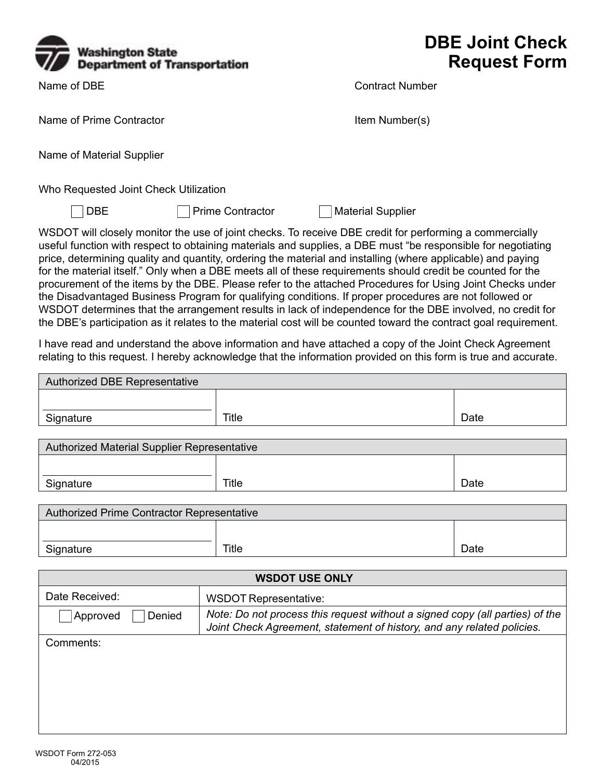

Name of DBE

## **DBE Joint Check Request Form**

Contract Number

Name of Prime Contractor **Item Number(s)** 

Name of Material Supplier

Who Requested Joint Check Utilization

**DBE** 

Prime Contractor  $\Box$  Material Supplier

WSDOT will closely monitor the use of joint checks. To receive DBE credit for performing a commercially useful function with respect to obtaining materials and supplies, a DBE must "be responsible for negotiating price, determining quality and quantity, ordering the material and installing (where applicable) and paying for the material itself." Only when a DBE meets all of these requirements should credit be counted for the procurement of the items by the DBE. Please refer to the attached Procedures for Using Joint Checks under the Disadvantaged Business Program for qualifying conditions. If proper procedures are not followed or WSDOT determines that the arrangement results in lack of independence for the DBE involved, no credit for the DBE's participation as it relates to the material cost will be counted toward the contract goal requirement.

I have read and understand the above information and have attached a copy of the Joint Check Agreement relating to this request. I hereby acknowledge that the information provided on this form is true and accurate.

| Authorized DBE Representative |       |      |  |
|-------------------------------|-------|------|--|
|                               |       |      |  |
| Signature                     | Title | Date |  |

| Authorized Material Supplier Representative |       |      |  |
|---------------------------------------------|-------|------|--|
|                                             |       |      |  |
| Signature                                   | Title | Date |  |

| Authorized Prime Contractor Representative |       |      |  |
|--------------------------------------------|-------|------|--|
|                                            |       |      |  |
| Signature                                  | Title | Date |  |

| <b>WSDOT USE ONLY</b> |                                                                                                                                                        |  |
|-----------------------|--------------------------------------------------------------------------------------------------------------------------------------------------------|--|
| Date Received:        | <b>WSDOT Representative:</b>                                                                                                                           |  |
| Approved<br>Denied    | Note: Do not process this request without a signed copy (all parties) of the<br>Joint Check Agreement, statement of history, and any related policies. |  |
| Comments:             |                                                                                                                                                        |  |
|                       |                                                                                                                                                        |  |
|                       |                                                                                                                                                        |  |
|                       |                                                                                                                                                        |  |
|                       |                                                                                                                                                        |  |
|                       |                                                                                                                                                        |  |